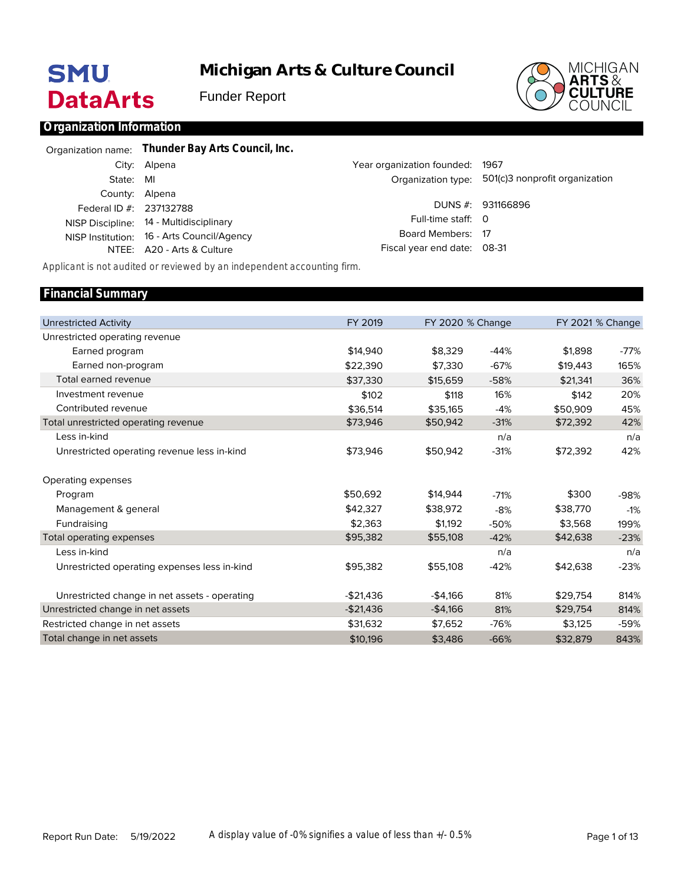# **SMU DataArts**

**Michigan Arts & Culture Council**

Funder Report



# **Organization Information**

|                         | Organization name: Thunder Bay Arts Council, Inc. |                             |                                                   |
|-------------------------|---------------------------------------------------|-----------------------------|---------------------------------------------------|
|                         | City: Alpena                                      | Year organization founded:  | 1967                                              |
| State:                  | MI                                                |                             | Organization type: 501(c)3 nonprofit organization |
| County: Alpena          |                                                   |                             |                                                   |
| Federal ID #: 237132788 |                                                   |                             | DUNS #: 931166896                                 |
|                         | NISP Discipline: 14 - Multidisciplinary           | Full-time staff: 0          |                                                   |
|                         | NISP Institution: 16 - Arts Council/Agency        | Board Members: 17           |                                                   |
|                         | NTEE: A20 - Arts & Culture                        | Fiscal year end date: 08-31 |                                                   |
|                         |                                                   |                             |                                                   |

*Applicant is not audited or reviewed by an independent accounting firm.*

| <b>Financial Summary</b>                      |            |                         |        |          |                         |
|-----------------------------------------------|------------|-------------------------|--------|----------|-------------------------|
|                                               |            |                         |        |          |                         |
| <b>Unrestricted Activity</b>                  | FY 2019    | <b>FY 2020 % Change</b> |        |          | <b>FY 2021 % Change</b> |
| Unrestricted operating revenue                |            |                         |        |          |                         |
| Earned program                                | \$14,940   | \$8,329                 | $-44%$ | \$1,898  | -77%                    |
| Earned non-program                            | \$22,390   | \$7,330                 | $-67%$ | \$19,443 | 165%                    |
| Total earned revenue                          | \$37,330   | \$15,659                | $-58%$ | \$21,341 | 36%                     |
| Investment revenue                            | \$102      | \$118                   | 16%    | \$142    | 20%                     |
| Contributed revenue                           | \$36,514   | \$35,165                | $-4%$  | \$50,909 | 45%                     |
| Total unrestricted operating revenue          | \$73,946   | \$50,942                | $-31%$ | \$72,392 | 42%                     |
| Less in-kind                                  |            |                         | n/a    |          | n/a                     |
| Unrestricted operating revenue less in-kind   | \$73,946   | \$50,942                | $-31%$ | \$72,392 | 42%                     |
| Operating expenses                            |            |                         |        |          |                         |
| Program                                       | \$50.692   | \$14,944                | $-71%$ | \$300    | -98%                    |
| Management & general                          | \$42,327   | \$38,972                | $-8%$  | \$38,770 | $-1%$                   |
| Fundraising                                   | \$2.363    | \$1.192                 | $-50%$ | \$3,568  | 199%                    |
| Total operating expenses                      | \$95,382   | \$55,108                | $-42%$ | \$42,638 | $-23%$                  |
| Less in-kind                                  |            |                         | n/a    |          | n/a                     |
| Unrestricted operating expenses less in-kind  | \$95,382   | \$55,108                | $-42%$ | \$42,638 | $-23%$                  |
| Unrestricted change in net assets - operating | $-$21.436$ | $-$4,166$               | 81%    | \$29.754 | 814%                    |
| Unrestricted change in net assets             | $-$21,436$ | $-$4,166$               | 81%    | \$29,754 | 814%                    |
| Restricted change in net assets               | \$31,632   | \$7,652                 | $-76%$ | \$3,125  | -59%                    |
| Total change in net assets                    | \$10,196   | \$3,486                 | $-66%$ | \$32,879 | 843%                    |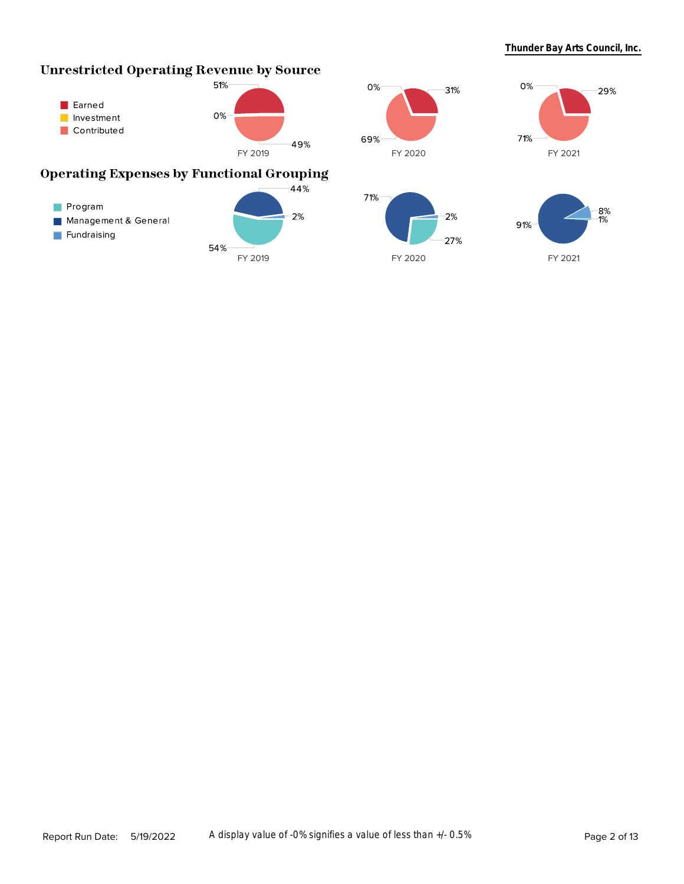# **Unrestricted Operating Revenue by Source**







# **Operating Expenses by Functional Grouping**





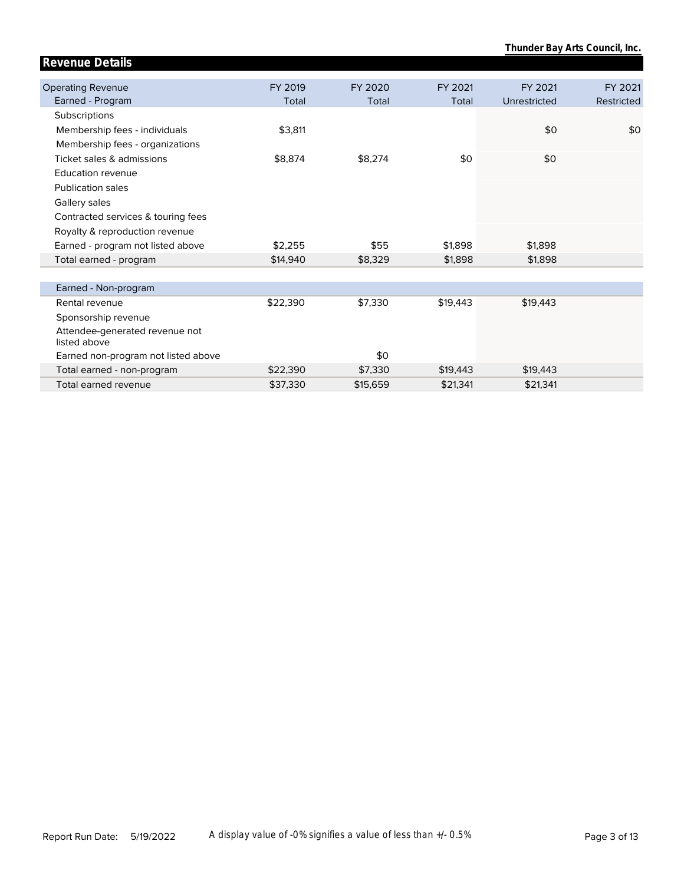| Revenue Details                                |          |          |          |              |            |
|------------------------------------------------|----------|----------|----------|--------------|------------|
|                                                |          |          |          |              |            |
| <b>Operating Revenue</b>                       | FY 2019  | FY 2020  | FY 2021  | FY 2021      | FY 2021    |
| Earned - Program                               | Total    | Total    | Total    | Unrestricted | Restricted |
| Subscriptions                                  |          |          |          |              |            |
| Membership fees - individuals                  | \$3,811  |          |          | \$0          | \$0        |
| Membership fees - organizations                |          |          |          |              |            |
| Ticket sales & admissions                      | \$8,874  | \$8,274  | \$0      | \$0          |            |
| <b>Education revenue</b>                       |          |          |          |              |            |
| <b>Publication sales</b>                       |          |          |          |              |            |
| Gallery sales                                  |          |          |          |              |            |
| Contracted services & touring fees             |          |          |          |              |            |
| Royalty & reproduction revenue                 |          |          |          |              |            |
| Earned - program not listed above              | \$2,255  | \$55     | \$1,898  | \$1,898      |            |
| Total earned - program                         | \$14,940 | \$8,329  | \$1,898  | \$1,898      |            |
|                                                |          |          |          |              |            |
| Earned - Non-program                           |          |          |          |              |            |
| Rental revenue                                 | \$22,390 | \$7,330  | \$19,443 | \$19,443     |            |
| Sponsorship revenue                            |          |          |          |              |            |
| Attendee-generated revenue not<br>listed above |          |          |          |              |            |
| Earned non-program not listed above            |          | \$0      |          |              |            |
| Total earned - non-program                     | \$22,390 | \$7,330  | \$19,443 | \$19,443     |            |
| Total earned revenue                           | \$37,330 | \$15,659 | \$21,341 | \$21,341     |            |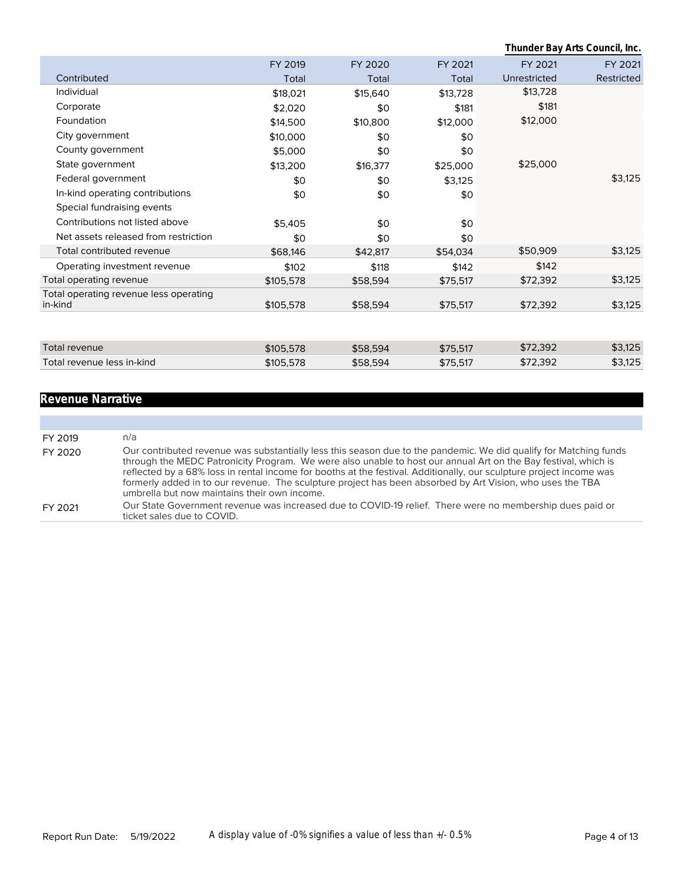|                                                   |           |          |          | Thunder Bay Arts Council, Inc. |            |
|---------------------------------------------------|-----------|----------|----------|--------------------------------|------------|
|                                                   | FY 2019   | FY 2020  | FY 2021  | FY 2021                        | FY 2021    |
| Contributed                                       | Total     | Total    | Total    | Unrestricted                   | Restricted |
| Individual                                        | \$18,021  | \$15,640 | \$13,728 | \$13,728                       |            |
| Corporate                                         | \$2,020   | \$0      | \$181    | \$181                          |            |
| Foundation                                        | \$14,500  | \$10,800 | \$12,000 | \$12,000                       |            |
| City government                                   | \$10,000  | \$0      | \$0      |                                |            |
| County government                                 | \$5,000   | \$0      | \$0      |                                |            |
| State government                                  | \$13,200  | \$16,377 | \$25,000 | \$25,000                       |            |
| Federal government                                | \$0       | \$0      | \$3,125  |                                | \$3,125    |
| In-kind operating contributions                   | \$0       | \$0      | \$0      |                                |            |
| Special fundraising events                        |           |          |          |                                |            |
| Contributions not listed above                    | \$5,405   | \$0      | \$0      |                                |            |
| Net assets released from restriction              | \$0       | \$0      | \$0      |                                |            |
| Total contributed revenue                         | \$68,146  | \$42,817 | \$54,034 | \$50,909                       | \$3,125    |
| Operating investment revenue                      | \$102     | \$118    | \$142    | \$142                          |            |
| Total operating revenue                           | \$105,578 | \$58,594 | \$75,517 | \$72,392                       | \$3,125    |
| Total operating revenue less operating<br>in-kind | \$105,578 | \$58,594 | \$75,517 | \$72,392                       | \$3,125    |
|                                                   |           |          |          |                                |            |
| <b>Total revenue</b>                              | \$105,578 | \$58,594 | \$75,517 | \$72,392                       | \$3,125    |
| Total revenue less in-kind                        | \$105,578 | \$58,594 | \$75,517 | \$72,392                       | \$3,125    |
|                                                   |           |          |          |                                |            |

# **Revenue Narrative**

| FY 2019 | n/a                                                                                                                                                                                                                                                                                                                                                                                                                                                                                                                     |
|---------|-------------------------------------------------------------------------------------------------------------------------------------------------------------------------------------------------------------------------------------------------------------------------------------------------------------------------------------------------------------------------------------------------------------------------------------------------------------------------------------------------------------------------|
| FY 2020 | Our contributed revenue was substantially less this season due to the pandemic. We did qualify for Matching funds<br>through the MEDC Patronicity Program. We were also unable to host our annual Art on the Bay festival, which is<br>reflected by a 68% loss in rental income for booths at the festival. Additionally, our sculpture project income was<br>formerly added in to our revenue. The sculpture project has been absorbed by Art Vision, who uses the TBA<br>umbrella but now maintains their own income. |
| FY 2021 | Our State Government revenue was increased due to COVID-19 relief. There were no membership dues paid or<br>ticket sales due to COVID.                                                                                                                                                                                                                                                                                                                                                                                  |
|         |                                                                                                                                                                                                                                                                                                                                                                                                                                                                                                                         |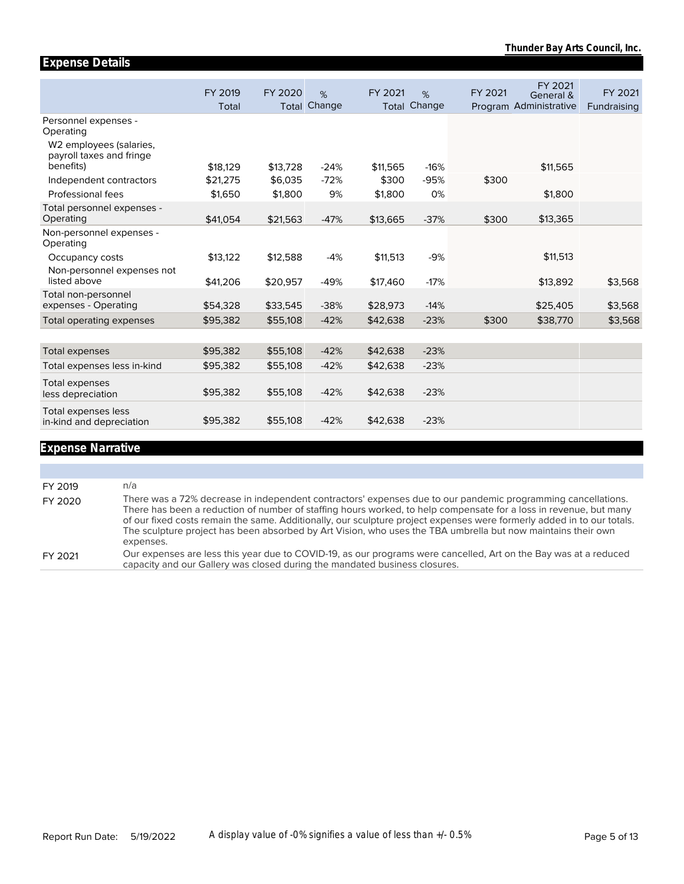|                                                                          | FY 2019<br>Total | FY 2020<br>Total | %<br>Change | FY 2021  | %<br><b>Total Change</b> | FY 2021 | FY 2021<br>General &<br>Program Administrative | FY 2021<br>Fundraising |
|--------------------------------------------------------------------------|------------------|------------------|-------------|----------|--------------------------|---------|------------------------------------------------|------------------------|
| Personnel expenses -<br>Operating<br>W <sub>2</sub> employees (salaries, |                  |                  |             |          |                          |         |                                                |                        |
| payroll taxes and fringe<br>benefits)                                    | \$18,129         | \$13,728         | $-24%$      | \$11,565 | $-16%$                   |         | \$11,565                                       |                        |
| Independent contractors                                                  | \$21,275         | \$6,035          | $-72%$      | \$300    | $-95%$                   | \$300   |                                                |                        |
| Professional fees                                                        | \$1,650          | \$1,800          | 9%          | \$1,800  | 0%                       |         | \$1,800                                        |                        |
| Total personnel expenses -<br>Operating                                  | \$41,054         | \$21,563         | $-47%$      | \$13,665 | $-37%$                   | \$300   | \$13,365                                       |                        |
| Non-personnel expenses -<br>Operating                                    |                  |                  |             |          |                          |         |                                                |                        |
| Occupancy costs                                                          | \$13,122         | \$12,588         | $-4%$       | \$11,513 | $-9%$                    |         | \$11,513                                       |                        |
| Non-personnel expenses not<br>listed above                               | \$41,206         | \$20,957         | $-49%$      | \$17,460 | $-17%$                   |         | \$13,892                                       | \$3,568                |
| Total non-personnel<br>expenses - Operating                              | \$54,328         | \$33,545         | $-38%$      | \$28,973 | $-14%$                   |         | \$25,405                                       | \$3,568                |
| Total operating expenses                                                 | \$95,382         | \$55,108         | $-42%$      | \$42,638 | $-23%$                   | \$300   | \$38,770                                       | \$3,568                |
|                                                                          |                  |                  |             |          |                          |         |                                                |                        |
| Total expenses                                                           | \$95,382         | \$55,108         | $-42%$      | \$42,638 | $-23%$                   |         |                                                |                        |
| Total expenses less in-kind                                              | \$95,382         | \$55,108         | $-42%$      | \$42,638 | $-23%$                   |         |                                                |                        |
| Total expenses<br>less depreciation                                      | \$95,382         | \$55,108         | $-42%$      | \$42,638 | $-23%$                   |         |                                                |                        |
| Total expenses less<br>in-kind and depreciation                          | \$95,382         | \$55,108         | $-42%$      | \$42,638 | $-23%$                   |         |                                                |                        |

# **Expense Narrative**

**Expense Details**

| FY 2019 | n/a                                                                                                                                                                                                                                                                                                                                                                                                                                                                                      |
|---------|------------------------------------------------------------------------------------------------------------------------------------------------------------------------------------------------------------------------------------------------------------------------------------------------------------------------------------------------------------------------------------------------------------------------------------------------------------------------------------------|
| FY 2020 | There was a 72% decrease in independent contractors' expenses due to our pandemic programming cancellations.<br>There has been a reduction of number of staffing hours worked, to help compensate for a loss in revenue, but many<br>of our fixed costs remain the same. Additionally, our sculpture project expenses were formerly added in to our totals.<br>The sculpture project has been absorbed by Art Vision, who uses the TBA umbrella but now maintains their own<br>expenses. |
| FY 2021 | Our expenses are less this year due to COVID-19, as our programs were cancelled, Art on the Bay was at a reduced<br>capacity and our Gallery was closed during the mandated business closures.                                                                                                                                                                                                                                                                                           |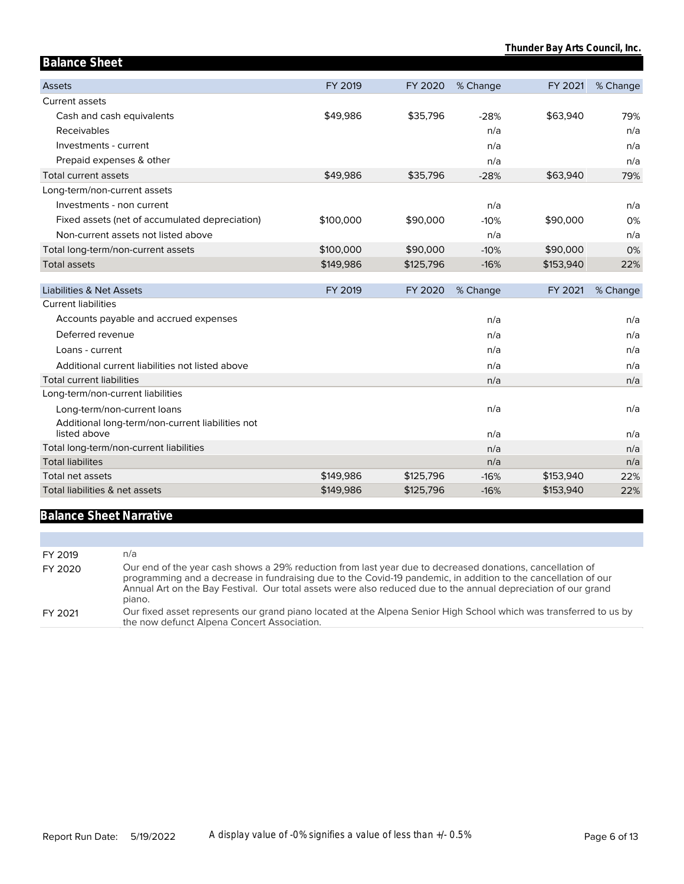| <b>Balance Sheet</b>                                             |           |           |          |           |          |
|------------------------------------------------------------------|-----------|-----------|----------|-----------|----------|
| <b>Assets</b>                                                    | FY 2019   | FY 2020   | % Change | FY 2021   | % Change |
| <b>Current assets</b>                                            |           |           |          |           |          |
| Cash and cash equivalents                                        | \$49,986  | \$35,796  | $-28%$   | \$63,940  | 79%      |
| Receivables                                                      |           |           | n/a      |           | n/a      |
| Investments - current                                            |           |           | n/a      |           | n/a      |
| Prepaid expenses & other                                         |           |           | n/a      |           | n/a      |
| Total current assets                                             | \$49,986  | \$35,796  | $-28%$   | \$63,940  | 79%      |
| Long-term/non-current assets                                     |           |           |          |           |          |
| Investments - non current                                        |           |           | n/a      |           | n/a      |
| Fixed assets (net of accumulated depreciation)                   | \$100,000 | \$90,000  | $-10%$   | \$90,000  | 0%       |
| Non-current assets not listed above                              |           |           | n/a      |           | n/a      |
| Total long-term/non-current assets                               | \$100,000 | \$90,000  | $-10%$   | \$90,000  | 0%       |
| <b>Total assets</b>                                              | \$149,986 | \$125,796 | $-16%$   | \$153,940 | 22%      |
| Liabilities & Net Assets                                         | FY 2019   | FY 2020   | % Change | FY 2021   | % Change |
| <b>Current liabilities</b>                                       |           |           |          |           |          |
| Accounts payable and accrued expenses                            |           |           | n/a      |           | n/a      |
| Deferred revenue                                                 |           |           | n/a      |           | n/a      |
| Loans - current                                                  |           |           | n/a      |           | n/a      |
| Additional current liabilities not listed above                  |           |           | n/a      |           | n/a      |
| <b>Total current liabilities</b>                                 |           |           |          |           |          |
|                                                                  |           |           | n/a      |           | n/a      |
| Long-term/non-current liabilities                                |           |           |          |           |          |
| Long-term/non-current loans                                      |           |           | n/a      |           | n/a      |
| Additional long-term/non-current liabilities not<br>listed above |           |           | n/a      |           | n/a      |
| Total long-term/non-current liabilities                          |           |           | n/a      |           | n/a      |
| <b>Total liabilites</b>                                          |           |           | n/a      |           | n/a      |
| Total net assets                                                 | \$149,986 | \$125,796 | $-16%$   | \$153,940 | 22%      |

# **Balance Sheet Narrative**

| FY 2019 | n/a                                                                                                                                                                                                                                                                                                                                                     |
|---------|---------------------------------------------------------------------------------------------------------------------------------------------------------------------------------------------------------------------------------------------------------------------------------------------------------------------------------------------------------|
| FY 2020 | Our end of the year cash shows a 29% reduction from last year due to decreased donations, cancellation of<br>programming and a decrease in fundraising due to the Covid-19 pandemic, in addition to the cancellation of our<br>Annual Art on the Bay Festival. Our total assets were also reduced due to the annual depreciation of our grand<br>piano. |
| FY 2021 | Our fixed asset represents our grand piano located at the Alpena Senior High School which was transferred to us by<br>the now defunct Alpena Concert Association.                                                                                                                                                                                       |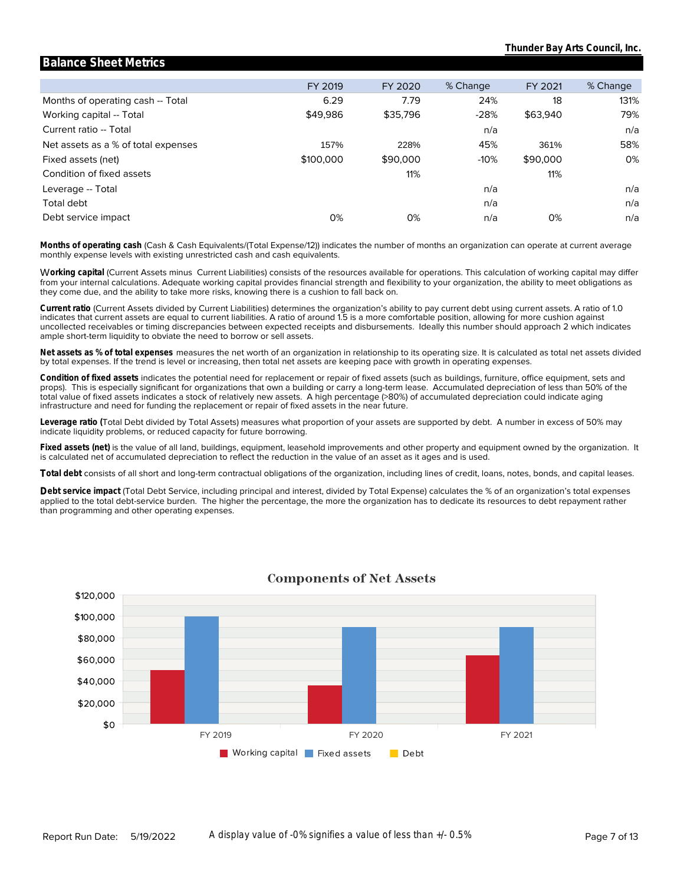#### Months of operating cash -- Total Working capital -- Total Current ratio -- Total Net assets as a % of total expenses Fixed assets (net) Condition of fixed assets Leverage -- Total **Leverage\_ratio** Total debt Debt service impact FY 2019 6.29 \$49,986 157% \$100,000 0% FY 2020 7.79 \$35,796 228% \$90,000 11% 0% % Change 24% -28% n/a 45% -10% n/a n/a n/a FY 2021 18 \$63,940 361% \$90,000 11% 0% % Change 131% 79% n/a 58% 0% n/a n/a n/a

**Balance Sheet Metrics**

monthly expense levels with existing unrestricted cash and cash equivalents. **Months of operating cash** (Cash & Cash Equivalents/(Total Expense/12)) indicates the number of months an organization can operate at current average

they come due, and the ability to take more risks, knowing there is a cushion to fall back on. from your internal calculations. Adequate working capital provides financial strength and flexibility to your organization, the ability to meet obligations as W**orking capital** (Current Assets minus Current Liabilities) consists of the resources available for operations. This calculation of working capital may differ

ample short-term liquidity to obviate the need to borrow or sell assets. uncollected receivables or timing discrepancies between expected receipts and disbursements. Ideally this number should approach 2 which indicates indicates that current assets are equal to current liabilities. A ratio of around 1.5 is a more comfortable position, allowing for more cushion against **Current ratio** (Current Assets divided by Current Liabilities) determines the organization's ability to pay current debt using current assets. A ratio of 1.0

by total expenses. If the trend is level or increasing, then total net assets are keeping pace with growth in operating expenses. **Net assets as % of total expenses** measures the net worth of an organization in relationship to its operating size. It is calculated as total net assets divided

infrastructure and need for funding the replacement or repair of fixed assets in the near future. total value of fixed assets indicates a stock of relatively new assets. A high percentage (>80%) of accumulated depreciation could indicate aging props). This is especially significant for organizations that own a building or carry a long-term lease. Accumulated depreciation of less than 50% of the **Condition of fixed assets** indicates the potential need for replacement or repair of fixed assets (such as buildings, furniture, office equipment, sets and

indicate liquidity problems, or reduced capacity for future borrowing. **Leverage ratio (**Total Debt divided by Total Assets) measures what proportion of your assets are supported by debt. A number in excess of 50% may

is calculated net of accumulated depreciation to reflect the reduction in the value of an asset as it ages and is used. **Fixed assets (net)** is the value of all land, buildings, equipment, leasehold improvements and other property and equipment owned by the organization. It

**Total debt** consists of all short and long-term contractual obligations of the organization, including lines of credit, loans, notes, bonds, and capital leases.

than programming and other operating expenses. applied to the total debt-service burden. The higher the percentage, the more the organization has to dedicate its resources to debt repayment rather **Debt service impact** (Total Debt Service, including principal and interest, divided by Total Expense) calculates the % of an organization's total expenses



### **Components of Net Assets**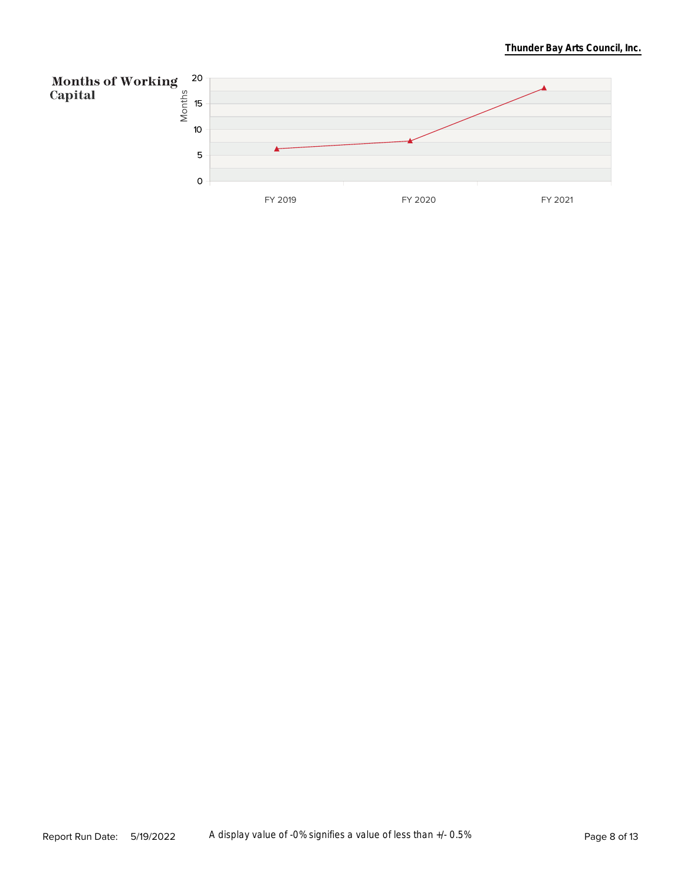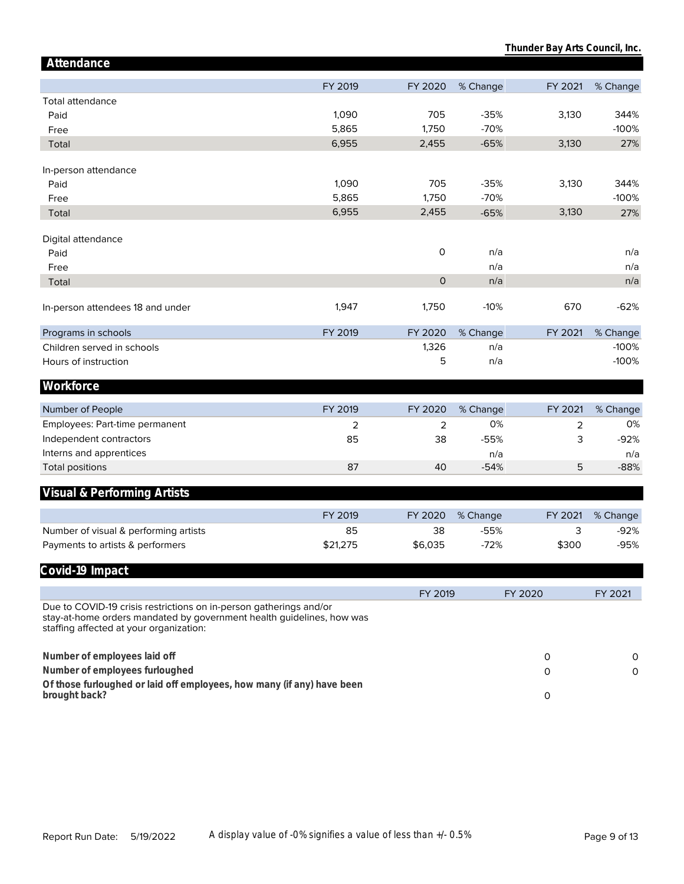| Attendance                                                                                                                                                                             |          |              |          |         |          |
|----------------------------------------------------------------------------------------------------------------------------------------------------------------------------------------|----------|--------------|----------|---------|----------|
|                                                                                                                                                                                        | FY 2019  | FY 2020      | % Change | FY 2021 | % Change |
| <b>Total attendance</b>                                                                                                                                                                |          |              |          |         |          |
| Paid                                                                                                                                                                                   | 1,090    | 705          | $-35%$   | 3,130   | 344%     |
| Free                                                                                                                                                                                   | 5,865    | 1,750        | $-70%$   |         | $-100%$  |
| Total                                                                                                                                                                                  | 6,955    | 2,455        | $-65%$   | 3,130   | 27%      |
|                                                                                                                                                                                        |          |              |          |         |          |
| In-person attendance                                                                                                                                                                   |          |              |          |         |          |
| Paid                                                                                                                                                                                   | 1,090    | 705          | $-35%$   | 3,130   | 344%     |
| Free                                                                                                                                                                                   | 5,865    | 1,750        | $-70%$   |         | $-100%$  |
| Total                                                                                                                                                                                  | 6,955    | 2,455        | $-65%$   | 3,130   | 27%      |
|                                                                                                                                                                                        |          |              |          |         |          |
| Digital attendance                                                                                                                                                                     |          |              |          |         |          |
| Paid                                                                                                                                                                                   |          | $\mathsf O$  | n/a      |         | n/a      |
| Free                                                                                                                                                                                   |          |              | n/a      |         | n/a      |
| Total                                                                                                                                                                                  |          | $\mathsf{O}$ | n/a      |         | n/a      |
| In-person attendees 18 and under                                                                                                                                                       | 1,947    | 1,750        | $-10%$   | 670     | $-62%$   |
|                                                                                                                                                                                        |          |              |          |         |          |
| Programs in schools                                                                                                                                                                    | FY 2019  | FY 2020      | % Change | FY 2021 | % Change |
| Children served in schools                                                                                                                                                             |          | 1,326        | n/a      |         | $-100%$  |
| Hours of instruction                                                                                                                                                                   |          | 5            | n/a      |         | $-100%$  |
|                                                                                                                                                                                        |          |              |          |         |          |
| Workforce                                                                                                                                                                              |          |              |          |         |          |
| Number of People                                                                                                                                                                       | FY 2019  | FY 2020      | % Change | FY 2021 | % Change |
| Employees: Part-time permanent                                                                                                                                                         | 2        | 2            | 0%       | 2       | 0%       |
| Independent contractors                                                                                                                                                                | 85       | 38           | $-55%$   | 3       | $-92%$   |
| Interns and apprentices                                                                                                                                                                |          |              | n/a      |         | n/a      |
| <b>Total positions</b>                                                                                                                                                                 | 87       | 40           | $-54%$   | 5       | $-88%$   |
|                                                                                                                                                                                        |          |              |          |         |          |
| Visual & Performing Artists                                                                                                                                                            |          |              |          |         |          |
|                                                                                                                                                                                        | FY 2019  | FY 2020      | % Change | FY 2021 | % Change |
| Number of visual & performing artists                                                                                                                                                  | 85       | 38           | $-55%$   | 3       | $-92%$   |
| Payments to artists & performers                                                                                                                                                       | \$21,275 | \$6,035      | $-72%$   | \$300   | $-95%$   |
|                                                                                                                                                                                        |          |              |          |         |          |
| Covid-19 Impact                                                                                                                                                                        |          |              |          |         |          |
|                                                                                                                                                                                        |          | FY 2019      |          | FY 2020 | FY 2021  |
| Due to COVID-19 crisis restrictions on in-person gatherings and/or<br>stay-at-home orders mandated by government health guidelines, how was<br>staffing affected at your organization: |          |              |          |         |          |
| Number of employees laid off                                                                                                                                                           |          |              |          | 0       | 0        |
| Number of employees furloughed                                                                                                                                                         |          |              |          | 0       | $\circ$  |
| Of those furloughed or laid off employees, how many (if any) have been                                                                                                                 |          |              |          |         |          |
| brought back?                                                                                                                                                                          |          |              |          | 0       |          |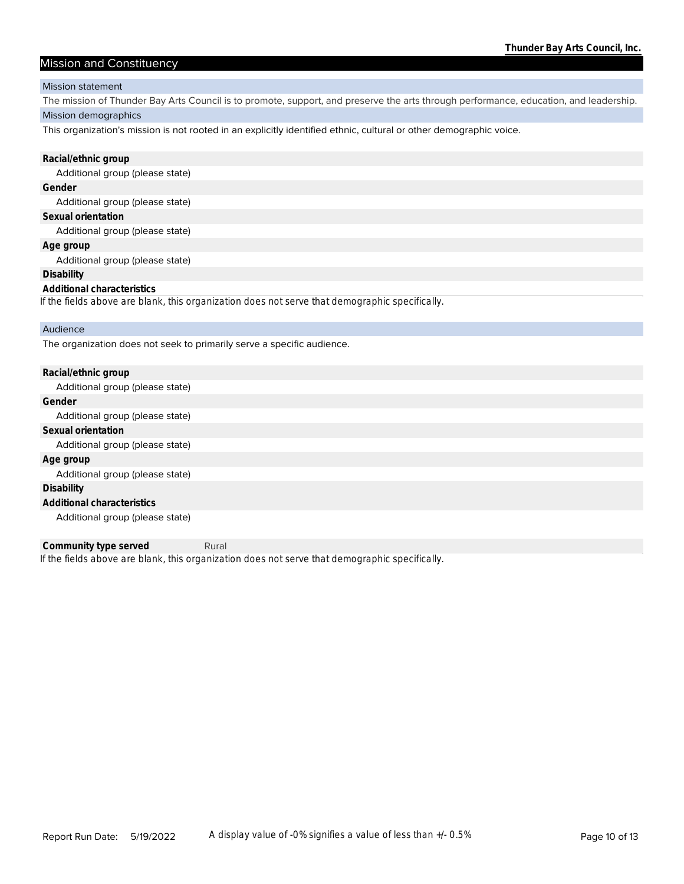### Mission and Constituency

#### Mission statement

Mission demographics The mission of Thunder Bay Arts Council is to promote, support, and preserve the arts through performance, education, and leadership.

This organization's mission is not rooted in an explicitly identified ethnic, cultural or other demographic voice.

| Racial/ethnic group                                                                            |
|------------------------------------------------------------------------------------------------|
| Additional group (please state)                                                                |
| Gender                                                                                         |
| Additional group (please state)                                                                |
| Sexual orientation                                                                             |
| Additional group (please state)                                                                |
| Age group                                                                                      |
| Additional group (please state)                                                                |
| Disability                                                                                     |
| Additional characteristics                                                                     |
| If the fields above are blank, this organization does not serve that demographic specifically. |
| Audience                                                                                       |
| The organization does not seek to primarily serve a specific audience.                         |

| Racial/ethnic group             |
|---------------------------------|
| Additional group (please state) |
| Gender                          |
| Additional group (please state) |
| Sexual orientation              |
| Additional group (please state) |
| Age group                       |
| Additional group (please state) |
| Disability                      |
| Additional characteristics      |
| Additional group (please state) |

*If the fields above are blank, this organization does not serve that demographic specifically.* **Community type served** Rural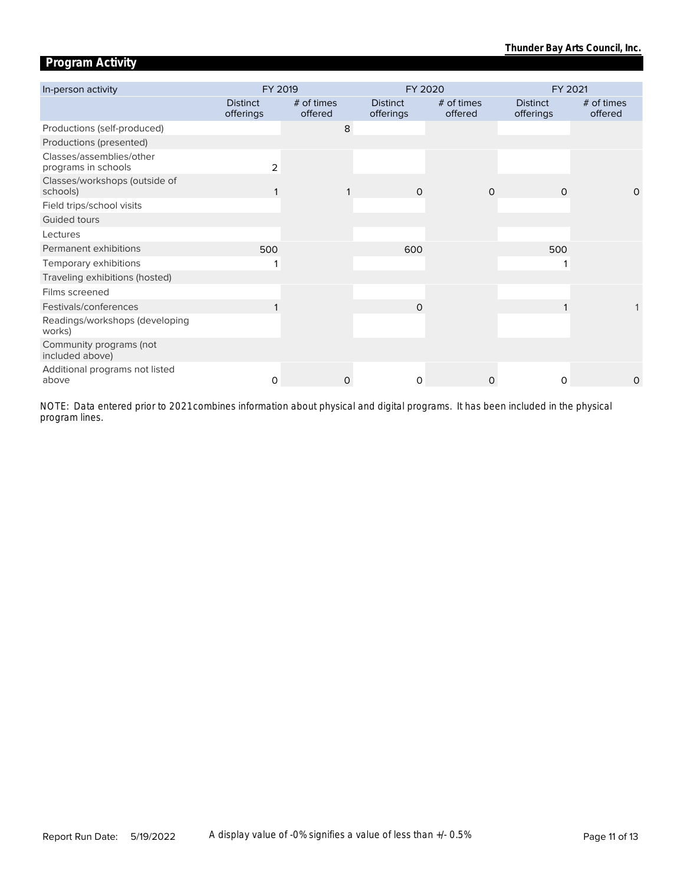# **Program Activity**

| In-person activity                              | FY 2019                      |                       |                              | FY 2020               | FY 2021                      |                         |  |
|-------------------------------------------------|------------------------------|-----------------------|------------------------------|-----------------------|------------------------------|-------------------------|--|
|                                                 | <b>Distinct</b><br>offerings | # of times<br>offered | <b>Distinct</b><br>offerings | # of times<br>offered | <b>Distinct</b><br>offerings | $#$ of times<br>offered |  |
| Productions (self-produced)                     |                              | 8                     |                              |                       |                              |                         |  |
| Productions (presented)                         |                              |                       |                              |                       |                              |                         |  |
| Classes/assemblies/other<br>programs in schools | 2                            |                       |                              |                       |                              |                         |  |
| Classes/workshops (outside of<br>schools)       |                              |                       | $\Omega$                     | $\Omega$              | $\Omega$                     | $\Omega$                |  |
| Field trips/school visits                       |                              |                       |                              |                       |                              |                         |  |
| Guided tours                                    |                              |                       |                              |                       |                              |                         |  |
| Lectures                                        |                              |                       |                              |                       |                              |                         |  |
| Permanent exhibitions                           | 500                          |                       | 600                          |                       | 500                          |                         |  |
| Temporary exhibitions                           |                              |                       |                              |                       |                              |                         |  |
| Traveling exhibitions (hosted)                  |                              |                       |                              |                       |                              |                         |  |
| Films screened                                  |                              |                       |                              |                       |                              |                         |  |
| Festivals/conferences                           |                              |                       | $\Omega$                     |                       |                              |                         |  |
| Readings/workshops (developing<br>works)        |                              |                       |                              |                       |                              |                         |  |
| Community programs (not<br>included above)      |                              |                       |                              |                       |                              |                         |  |
| Additional programs not listed<br>above         | $\Omega$                     | 0                     | 0                            | $\Omega$              | $\Omega$                     | $\circ$                 |  |

*program lines. NOTE: Data entered prior to 2021 combines information about physical and digital programs. It has been included in the physical*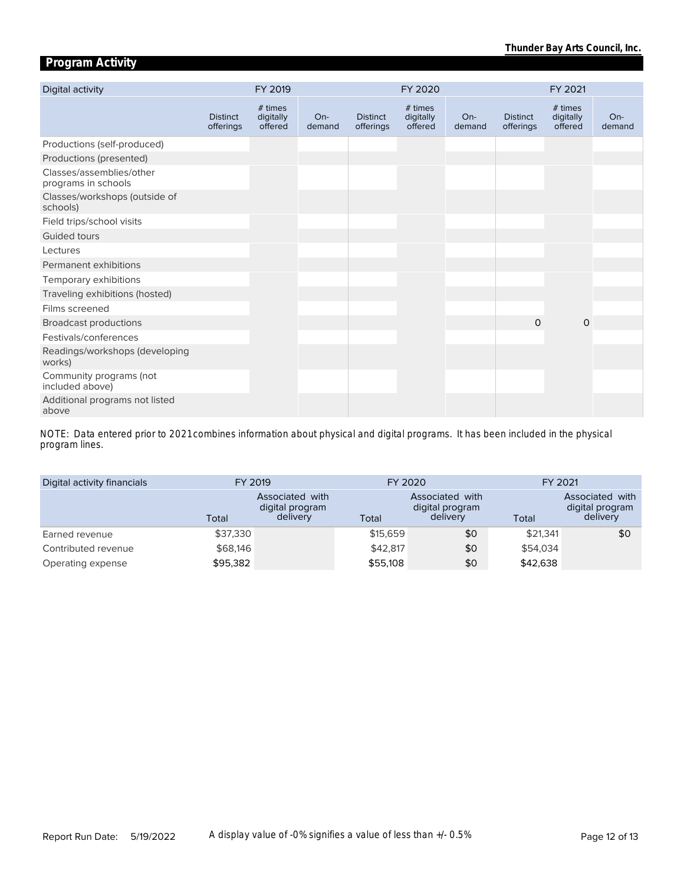# **Program Activity**

| Digital activity                                |                              | FY 2019                         |                 |                              | FY 2020                         |                 |                              | FY 2021                         |                 |
|-------------------------------------------------|------------------------------|---------------------------------|-----------------|------------------------------|---------------------------------|-----------------|------------------------------|---------------------------------|-----------------|
|                                                 | <b>Distinct</b><br>offerings | # times<br>digitally<br>offered | $On-$<br>demand | <b>Distinct</b><br>offerings | # times<br>digitally<br>offered | $On-$<br>demand | <b>Distinct</b><br>offerings | # times<br>digitally<br>offered | $On-$<br>demand |
| Productions (self-produced)                     |                              |                                 |                 |                              |                                 |                 |                              |                                 |                 |
| Productions (presented)                         |                              |                                 |                 |                              |                                 |                 |                              |                                 |                 |
| Classes/assemblies/other<br>programs in schools |                              |                                 |                 |                              |                                 |                 |                              |                                 |                 |
| Classes/workshops (outside of<br>schools)       |                              |                                 |                 |                              |                                 |                 |                              |                                 |                 |
| Field trips/school visits                       |                              |                                 |                 |                              |                                 |                 |                              |                                 |                 |
| Guided tours                                    |                              |                                 |                 |                              |                                 |                 |                              |                                 |                 |
| Lectures                                        |                              |                                 |                 |                              |                                 |                 |                              |                                 |                 |
| Permanent exhibitions                           |                              |                                 |                 |                              |                                 |                 |                              |                                 |                 |
| Temporary exhibitions                           |                              |                                 |                 |                              |                                 |                 |                              |                                 |                 |
| Traveling exhibitions (hosted)                  |                              |                                 |                 |                              |                                 |                 |                              |                                 |                 |
| Films screened                                  |                              |                                 |                 |                              |                                 |                 |                              |                                 |                 |
| <b>Broadcast productions</b>                    |                              |                                 |                 |                              |                                 |                 | $\Omega$                     | $\circ$                         |                 |
| Festivals/conferences                           |                              |                                 |                 |                              |                                 |                 |                              |                                 |                 |
| Readings/workshops (developing<br>works)        |                              |                                 |                 |                              |                                 |                 |                              |                                 |                 |
| Community programs (not<br>included above)      |                              |                                 |                 |                              |                                 |                 |                              |                                 |                 |
| Additional programs not listed<br>above         |                              |                                 |                 |                              |                                 |                 |                              |                                 |                 |

*program lines. NOTE: Data entered prior to 2021 combines information about physical and digital programs. It has been included in the physical* 

| Digital activity financials | FY 2019  |                                                |          | FY 2020                                        | FY 2021  |                                                |  |
|-----------------------------|----------|------------------------------------------------|----------|------------------------------------------------|----------|------------------------------------------------|--|
|                             | Total    | Associated with<br>digital program<br>delivery | Total    | Associated with<br>digital program<br>delivery | Total    | Associated with<br>digital program<br>delivery |  |
| Earned revenue              | \$37,330 |                                                | \$15,659 | \$0                                            | \$21.341 | \$0                                            |  |
| Contributed revenue         | \$68,146 |                                                | \$42,817 | \$0                                            | \$54,034 |                                                |  |
| Operating expense           | \$95,382 |                                                | \$55,108 | \$0                                            | \$42,638 |                                                |  |